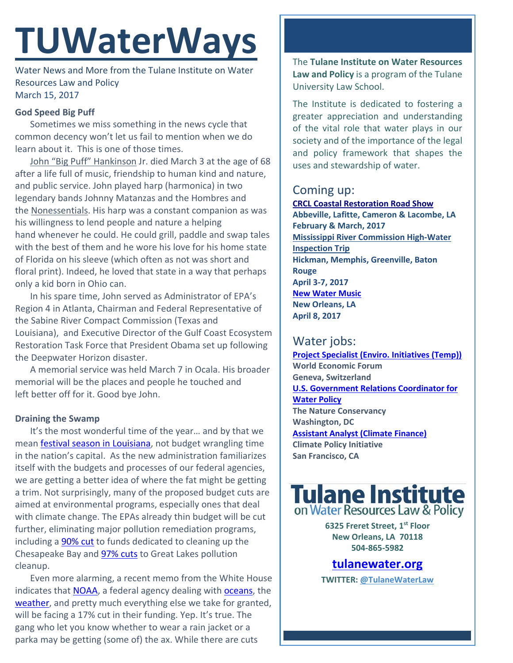# **TUWaterWays**

Water News and More from the Tulane Institute on Water Resources Law and Policy March 15, 2017

## **God Speed Big Puff**

Sometimes we miss something in the news cycle that common decency won't let us fail to mention when we do learn about it. This is one of those times.

John ["Big Puff" Hankinson](https://flaglerlive.com/105435/john-hankinson-jr/) Jr. died March 3 at the age of 68 after a life full of music, friendship to human kind and nature, and public service. John played harp (harmonica) in two legendary bands Johnny Matanzas and the Hombres and the [Nonessentials.](https://www.youtube.com/watch?v=3s8a9XNuQ-A) His harp was a constant companion as was his willingness to lend people and nature a helping hand whenever he could. He could grill, paddle and swap tales with the best of them and he wore his love for his home state of Florida on his sleeve (which often as not was short and floral print). Indeed, he loved that state in a way that perhaps only a kid born in Ohio can.

In his spare time, John served as Administrator of EPA's Region 4 in Atlanta, Chairman and Federal Representative of the Sabine River Compact Commission (Texas and Louisiana), and Executive Director of the Gulf Coast Ecosystem Restoration Task Force that President Obama set up following the Deepwater Horizon disaster.

A memorial service was held March 7 in Ocala. His broader memorial will be the places and people he touched and left better off for it. Good bye John.

### **Draining the Swamp**

It's the most wonderful time of the year… and by that we mean [festival season in Louisiana,](http://www.louisianatravel.com/articles/festival-season-goes-high-gear-spring) not budget wrangling time in the nation's capital. As the new administration familiarizes itself with the budgets and processes of our federal agencies, we are getting a better idea of where the fat might be getting a trim. Not surprisingly, many of the proposed budget cuts are aimed at environmental programs, especially ones that deal with climate change. The EPAs already thin budget will be cut further, eliminating major pollution remediation programs, including a **90% cut** to funds dedicated to cleaning up the Chesapeake Bay and **97% cuts** to Great Lakes pollution cleanup.

Even more alarming, a recent memo from the White House indicates that [NOAA,](http://www.noaa.gov/) a federal agency dealing with [oceans,](http://www.noaa.gov/oceans-coasts) the [weather,](http://www.noaa.gov/weather) and pretty much everything else we take for granted, will be facing a 17% cut in their funding. Yep. It's true. The gang who let you know whether to wear a rain jacket or a parka may be getting (some of) the ax. While there are cuts

The **Tulane Institute on Water Resources Law and Policy** is a program of the Tulane University Law School.

The Institute is dedicated to fostering a greater appreciation and understanding of the vital role that water plays in our society and of the importance of the legal and policy framework that shapes the uses and stewardship of water.

## Coming up:

**[CRCL Coastal Restoration Road Show](http://www.crcl.org/programs/outreach-and-engagement/coastal-restoration-road-show.html) Abbeville, Lafitte, Cameron & Lacombe, LA February & March, 2017 Mississippi River Commission High-Water Inspection Trip Hickman, Memphis, Greenville, Baton Rouge April 3-7, 2017 [New Water Music](http://neworleansairlift.org/index.php/component/k2/item/540-new-water-music) New Orleans, LA April 8, 2017**

# Water jobs:

**[Project Specialist \(Enviro. Initiatives \(Temp\)\)](http://www.joshswaterjobs.com/jobs/3097) World Economic Forum Geneva, Switzerland [U.S. Government Relations Coordinator for](http://www.joshswaterjobs.com/jobs/3211)  [Water Policy](http://www.joshswaterjobs.com/jobs/3211) The Nature Conservancy Washington, DC [Assistant Analyst \(Climate Finance\)](http://www.joshswaterjobs.com/jobs/3160) Climate Policy Initiative San Francisco, CA**



**6325 Freret Street, 1st Floor New Orleans, LA 70118 504-865-5982** 

**tulanewater.org**

**TWITTER: [@TulaneWaterLaw](http://www.twitter.com/TulaneWaterLaw)**